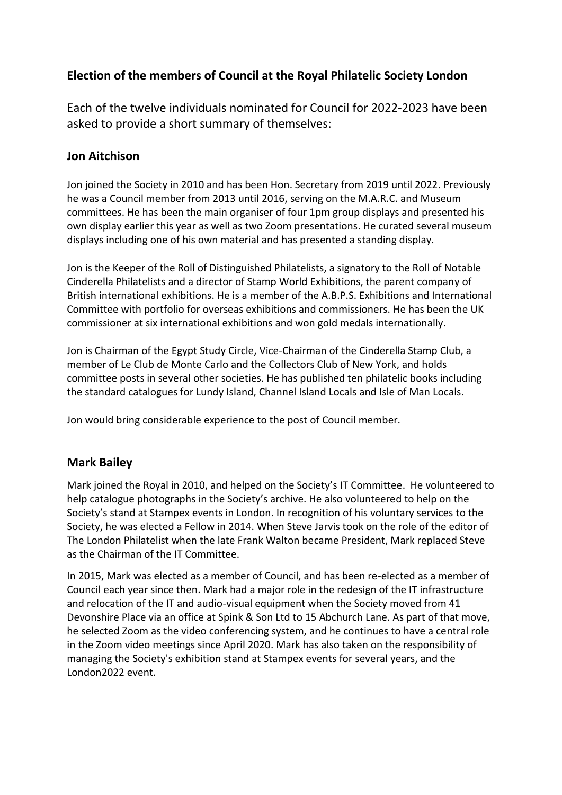# **Election of the members of Council at the Royal Philatelic Society London**

Each of the twelve individuals nominated for Council for 2022-2023 have been asked to provide a short summary of themselves:

## **Jon Aitchison**

Jon joined the Society in 2010 and has been Hon. Secretary from 2019 until 2022. Previously he was a Council member from 2013 until 2016, serving on the M.A.R.C. and Museum committees. He has been the main organiser of four 1pm group displays and presented his own display earlier this year as well as two Zoom presentations. He curated several museum displays including one of his own material and has presented a standing display.

Jon is the Keeper of the Roll of Distinguished Philatelists, a signatory to the Roll of Notable Cinderella Philatelists and a director of Stamp World Exhibitions, the parent company of British international exhibitions. He is a member of the A.B.P.S. Exhibitions and International Committee with portfolio for overseas exhibitions and commissioners. He has been the UK commissioner at six international exhibitions and won gold medals internationally.

Jon is Chairman of the Egypt Study Circle, Vice-Chairman of the Cinderella Stamp Club, a member of Le Club de Monte Carlo and the Collectors Club of New York, and holds committee posts in several other societies. He has published ten philatelic books including the standard catalogues for Lundy Island, Channel Island Locals and Isle of Man Locals.

Jon would bring considerable experience to the post of Council member.

# **Mark Bailey**

Mark joined the Royal in 2010, and helped on the Society's IT Committee. He volunteered to help catalogue photographs in the Society's archive. He also volunteered to help on the Society's stand at Stampex events in London. In recognition of his voluntary services to the Society, he was elected a Fellow in 2014. When Steve Jarvis took on the role of the editor of The London Philatelist when the late Frank Walton became President, Mark replaced Steve as the Chairman of the IT Committee.

In 2015, Mark was elected as a member of Council, and has been re-elected as a member of Council each year since then. Mark had a major role in the redesign of the IT infrastructure and relocation of the IT and audio-visual equipment when the Society moved from 41 Devonshire Place via an office at Spink & Son Ltd to 15 Abchurch Lane. As part of that move, he selected Zoom as the video conferencing system, and he continues to have a central role in the Zoom video meetings since April 2020. Mark has also taken on the responsibility of managing the Society's exhibition stand at Stampex events for several years, and the London2022 event.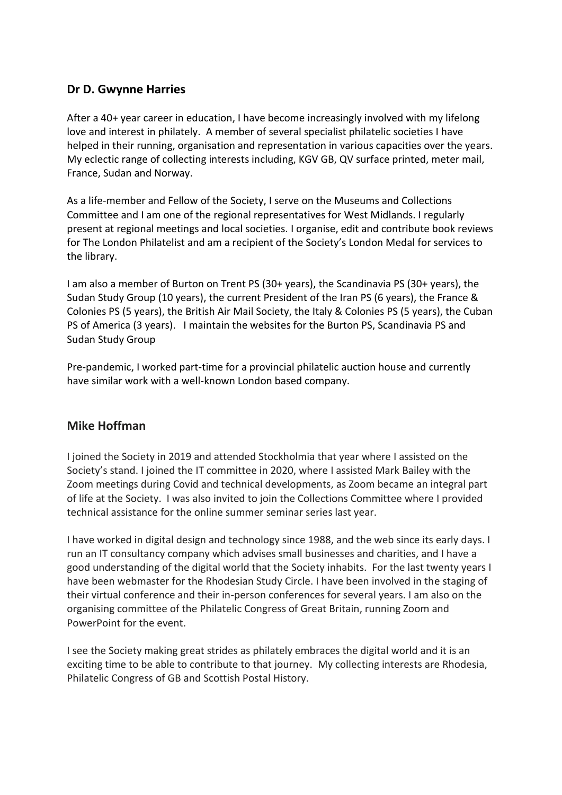## **Dr D. Gwynne Harries**

After a 40+ year career in education, I have become increasingly involved with my lifelong love and interest in philately. A member of several specialist philatelic societies I have helped in their running, organisation and representation in various capacities over the years. My eclectic range of collecting interests including, KGV GB, QV surface printed, meter mail, France, Sudan and Norway.

As a life-member and Fellow of the Society, I serve on the Museums and Collections Committee and I am one of the regional representatives for West Midlands. I regularly present at regional meetings and local societies. I organise, edit and contribute book reviews for The London Philatelist and am a recipient of the Society's London Medal for services to the library.

I am also a member of Burton on Trent PS (30+ years), the Scandinavia PS (30+ years), the Sudan Study Group (10 years), the current President of the Iran PS (6 years), the France & Colonies PS (5 years), the British Air Mail Society, the Italy & Colonies PS (5 years), the Cuban PS of America (3 years). I maintain the websites for the Burton PS, Scandinavia PS and Sudan Study Group

Pre-pandemic, I worked part-time for a provincial philatelic auction house and currently have similar work with a well-known London based company.

### **Mike Hoffman**

I joined the Society in 2019 and attended Stockholmia that year where I assisted on the Society's stand. I joined the IT committee in 2020, where I assisted Mark Bailey with the Zoom meetings during Covid and technical developments, as Zoom became an integral part of life at the Society. I was also invited to join the Collections Committee where I provided technical assistance for the online summer seminar series last year.

I have worked in digital design and technology since 1988, and the web since its early days. I run an IT consultancy company which advises small businesses and charities, and I have a good understanding of the digital world that the Society inhabits. For the last twenty years I have been webmaster for the Rhodesian Study Circle. I have been involved in the staging of their virtual conference and their in-person conferences for several years. I am also on the organising committee of the Philatelic Congress of Great Britain, running Zoom and PowerPoint for the event.

I see the Society making great strides as philately embraces the digital world and it is an exciting time to be able to contribute to that journey. My collecting interests are Rhodesia, Philatelic Congress of GB and Scottish Postal History.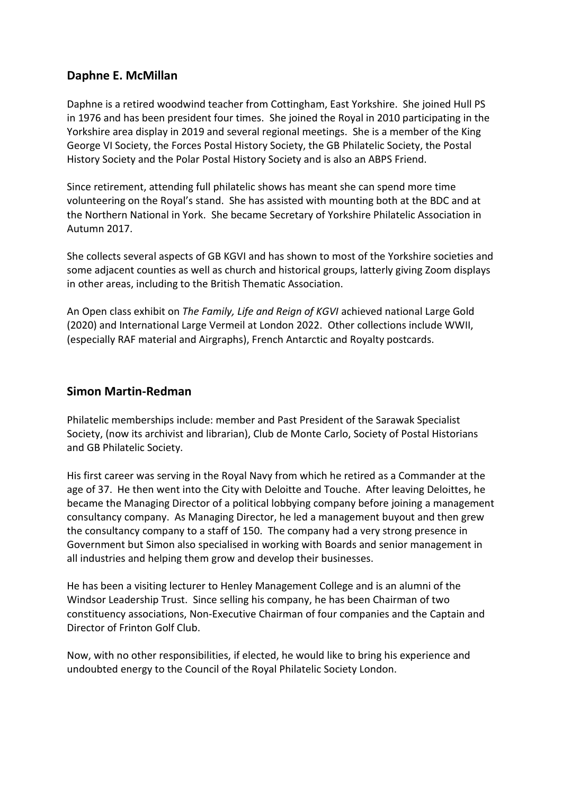## **Daphne E. McMillan**

Daphne is a retired woodwind teacher from Cottingham, East Yorkshire. She joined Hull PS in 1976 and has been president four times. She joined the Royal in 2010 participating in the Yorkshire area display in 2019 and several regional meetings. She is a member of the King George VI Society, the Forces Postal History Society, the GB Philatelic Society, the Postal History Society and the Polar Postal History Society and is also an ABPS Friend.

Since retirement, attending full philatelic shows has meant she can spend more time volunteering on the Royal's stand. She has assisted with mounting both at the BDC and at the Northern National in York. She became Secretary of Yorkshire Philatelic Association in Autumn 2017.

She collects several aspects of GB KGVI and has shown to most of the Yorkshire societies and some adjacent counties as well as church and historical groups, latterly giving Zoom displays in other areas, including to the British Thematic Association.

An Open class exhibit on *The Family, Life and Reign of KGVI* achieved national Large Gold (2020) and International Large Vermeil at London 2022. Other collections include WWII, (especially RAF material and Airgraphs), French Antarctic and Royalty postcards.

#### **Simon Martin-Redman**

Philatelic memberships include: member and Past President of the Sarawak Specialist Society, (now its archivist and librarian), Club de Monte Carlo, Society of Postal Historians and GB Philatelic Society.

His first career was serving in the Royal Navy from which he retired as a Commander at the age of 37. He then went into the City with Deloitte and Touche. After leaving Deloittes, he became the Managing Director of a political lobbying company before joining a management consultancy company. As Managing Director, he led a management buyout and then grew the consultancy company to a staff of 150. The company had a very strong presence in Government but Simon also specialised in working with Boards and senior management in all industries and helping them grow and develop their businesses.

He has been a visiting lecturer to Henley Management College and is an alumni of the Windsor Leadership Trust. Since selling his company, he has been Chairman of two constituency associations, Non-Executive Chairman of four companies and the Captain and Director of Frinton Golf Club.

Now, with no other responsibilities, if elected, he would like to bring his experience and undoubted energy to the Council of the Royal Philatelic Society London.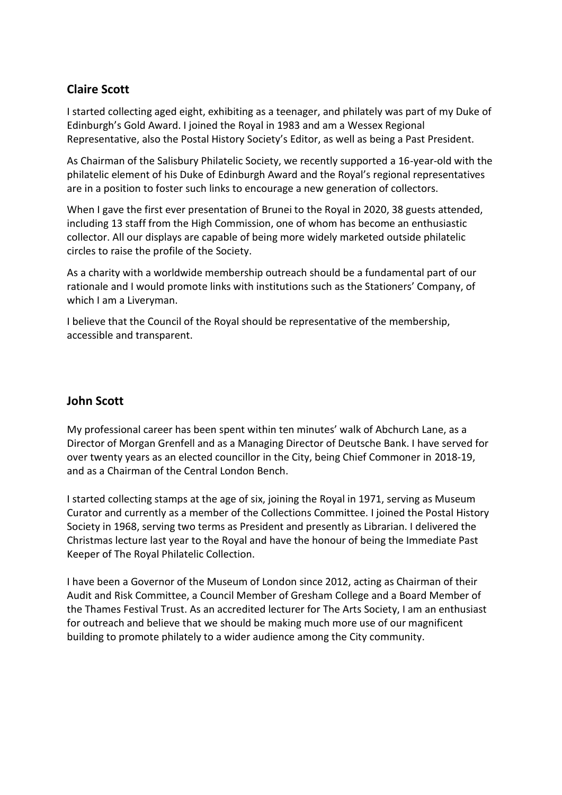# **Claire Scott**

I started collecting aged eight, exhibiting as a teenager, and philately was part of my Duke of Edinburgh's Gold Award. I joined the Royal in 1983 and am a Wessex Regional Representative, also the Postal History Society's Editor, as well as being a Past President.

As Chairman of the Salisbury Philatelic Society, we recently supported a 16-year-old with the philatelic element of his Duke of Edinburgh Award and the Royal's regional representatives are in a position to foster such links to encourage a new generation of collectors.

When I gave the first ever presentation of Brunei to the Royal in 2020, 38 guests attended, including 13 staff from the High Commission, one of whom has become an enthusiastic collector. All our displays are capable of being more widely marketed outside philatelic circles to raise the profile of the Society.

As a charity with a worldwide membership outreach should be a fundamental part of our rationale and I would promote links with institutions such as the Stationers' Company, of which I am a Liveryman.

I believe that the Council of the Royal should be representative of the membership, accessible and transparent.

### **John Scott**

My professional career has been spent within ten minutes' walk of Abchurch Lane, as a Director of Morgan Grenfell and as a Managing Director of Deutsche Bank. I have served for over twenty years as an elected councillor in the City, being Chief Commoner in 2018-19, and as a Chairman of the Central London Bench.

I started collecting stamps at the age of six, joining the Royal in 1971, serving as Museum Curator and currently as a member of the Collections Committee. I joined the Postal History Society in 1968, serving two terms as President and presently as Librarian. I delivered the Christmas lecture last year to the Royal and have the honour of being the Immediate Past Keeper of The Royal Philatelic Collection.

I have been a Governor of the Museum of London since 2012, acting as Chairman of their Audit and Risk Committee, a Council Member of Gresham College and a Board Member of the Thames Festival Trust. As an accredited lecturer for The Arts Society, I am an enthusiast for outreach and believe that we should be making much more use of our magnificent building to promote philately to a wider audience among the City community.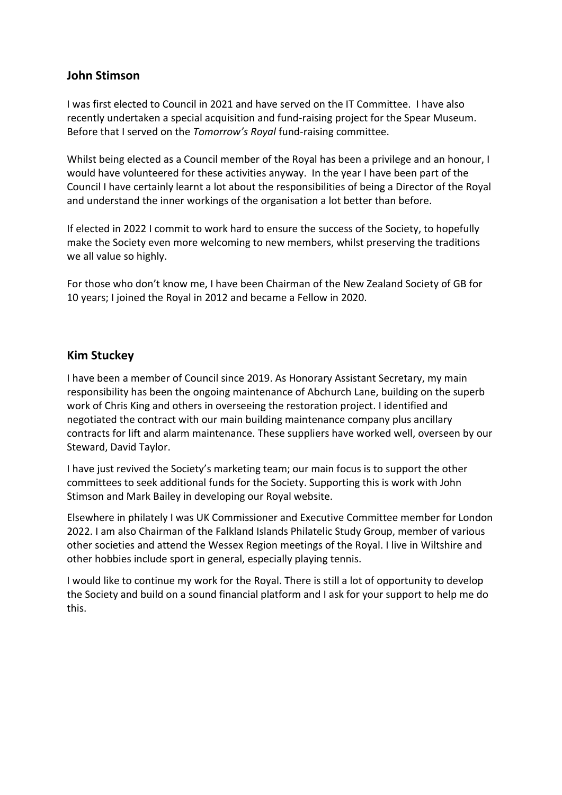### **John Stimson**

I was first elected to Council in 2021 and have served on the IT Committee. I have also recently undertaken a special acquisition and fund-raising project for the Spear Museum. Before that I served on the *Tomorrow's Royal* fund-raising committee.

Whilst being elected as a Council member of the Royal has been a privilege and an honour, I would have volunteered for these activities anyway. In the year I have been part of the Council I have certainly learnt a lot about the responsibilities of being a Director of the Royal and understand the inner workings of the organisation a lot better than before.

If elected in 2022 I commit to work hard to ensure the success of the Society, to hopefully make the Society even more welcoming to new members, whilst preserving the traditions we all value so highly.

For those who don't know me, I have been Chairman of the New Zealand Society of GB for 10 years; I joined the Royal in 2012 and became a Fellow in 2020.

### **Kim Stuckey**

I have been a member of Council since 2019. As Honorary Assistant Secretary, my main responsibility has been the ongoing maintenance of Abchurch Lane, building on the superb work of Chris King and others in overseeing the restoration project. I identified and negotiated the contract with our main building maintenance company plus ancillary contracts for lift and alarm maintenance. These suppliers have worked well, overseen by our Steward, David Taylor.

I have just revived the Society's marketing team; our main focus is to support the other committees to seek additional funds for the Society. Supporting this is work with John Stimson and Mark Bailey in developing our Royal website.

Elsewhere in philately I was UK Commissioner and Executive Committee member for London 2022. I am also Chairman of the Falkland Islands Philatelic Study Group, member of various other societies and attend the Wessex Region meetings of the Royal. I live in Wiltshire and other hobbies include sport in general, especially playing tennis.

I would like to continue my work for the Royal. There is still a lot of opportunity to develop the Society and build on a sound financial platform and I ask for your support to help me do this.